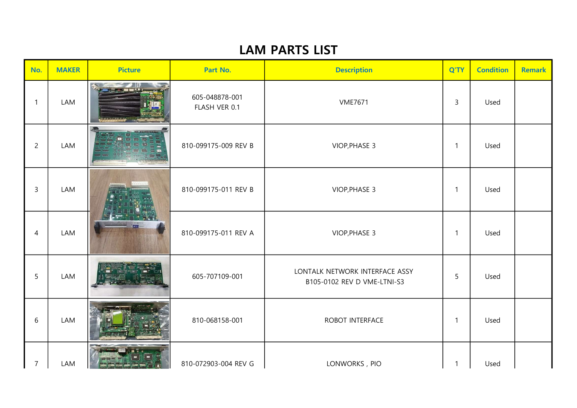| No.            | <b>MAKER</b> | <b>Picture</b> | Part No.                        | <b>Description</b>                                            | Q'TY         | <b>Condition</b> | <b>Remark</b> |
|----------------|--------------|----------------|---------------------------------|---------------------------------------------------------------|--------------|------------------|---------------|
| 1              | LAM          |                | 605-048878-001<br>FLASH VER 0.1 | <b>VME7671</b>                                                | $\mathbf{3}$ | Used             |               |
| $\overline{c}$ | LAM          |                | 810-099175-009 REV B            | VIOP, PHASE 3                                                 | $\mathbf{1}$ | Used             |               |
| $\mathsf{3}$   | LAM          |                | 810-099175-011 REV B            | VIOP, PHASE 3                                                 | $\mathbf{1}$ | Used             |               |
| $\overline{4}$ | LAM          |                | 810-099175-011 REV A            | VIOP, PHASE 3                                                 | $\mathbf{1}$ | Used             |               |
| 5              | LAM          |                | 605-707109-001                  | LONTALK NETWORK INTERFACE ASSY<br>B105-0102 REV D VME-LTNI-S3 | 5            | Used             |               |
| 6              | LAM          |                | 810-068158-001                  | ROBOT INTERFACE                                               | $\mathbf{1}$ | Used             |               |
| $\overline{7}$ | LAM          |                | 810-072903-004 REV G            | LONWORKS, PIO                                                 | $\mathbf{1}$ | Used             |               |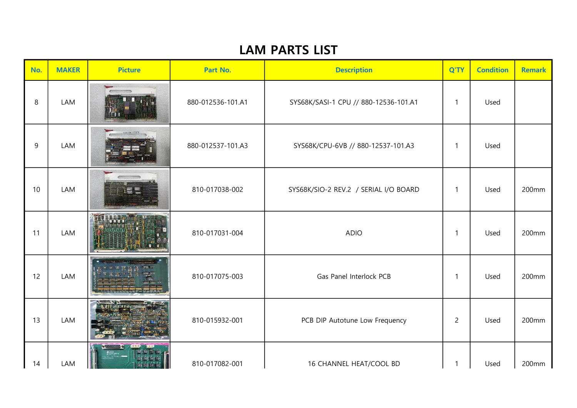| No. | <b>MAKER</b> | <b>Picture</b>   | Part No.          | <b>Description</b>                    | Q'TY           | <b>Condition</b> | <b>Remark</b> |
|-----|--------------|------------------|-------------------|---------------------------------------|----------------|------------------|---------------|
| 8   | LAM          |                  | 880-012536-101.A1 | SYS68K/SASI-1 CPU // 880-12536-101.A1 | $\mathbf{1}$   | Used             |               |
| 9   | LAM          | -0031747.12      | 880-012537-101.A3 | SYS68K/CPU-6VB // 880-12537-101.A3    | $\mathbf{1}$   | Used             |               |
| 10  | LAM          |                  | 810-017038-002    | SYS68K/SIO-2 REV.2 / SERIAL I/O BOARD | $\mathbf{1}$   | Used             | 200mm         |
| 11  | LAM          | <b>TOTO BILE</b> | 810-017031-004    | <b>ADIO</b>                           | $\mathbf{1}$   | Used             | 200mm         |
| 12  | LAM          |                  | 810-017075-003    | Gas Panel Interlock PCB               | $\mathbf{1}$   | Used             | 200mm         |
| 13  | LAM          |                  | 810-015932-001    | PCB DIP Autotune Low Frequency        | $\overline{2}$ | Used             | 200mm         |
| 14  | LAM          |                  | 810-017082-001    | 16 CHANNEL HEAT/COOL BD               | 1              | Used             | 200mm         |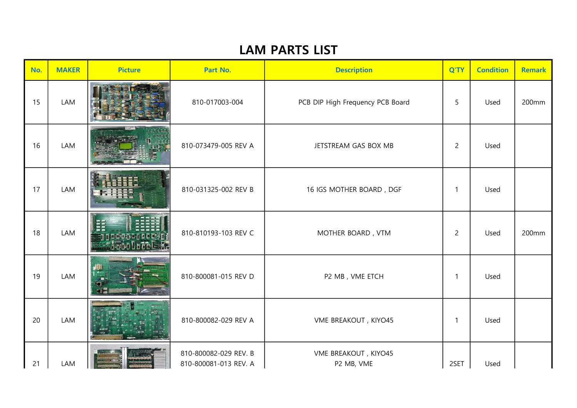| No. | <b>MAKER</b> | <b>Picture</b> | Part No.                                       | <b>Description</b>                 | Q'TY           | <b>Condition</b> | <b>Remark</b> |
|-----|--------------|----------------|------------------------------------------------|------------------------------------|----------------|------------------|---------------|
| 15  | LAM          |                | 810-017003-004                                 | PCB DIP High Frequency PCB Board   | 5              | Used             | 200mm         |
| 16  | LAM          |                | 810-073479-005 REV A                           | JETSTREAM GAS BOX MB               | $\overline{2}$ | Used             |               |
| 17  | LAM          |                | 810-031325-002 REV B                           | 16 IGS MOTHER BOARD, DGF           | $\mathbf{1}$   | Used             |               |
| 18  | LAM          |                | 810-810193-103 REV C                           | MOTHER BOARD, VTM                  | $\overline{2}$ | Used             | 200mm         |
| 19  | LAM          | ĦH             | 810-800081-015 REV D                           | P2 MB, VME ETCH                    | $\mathbf 1$    | Used             |               |
| 20  | LAM          |                | 810-800082-029 REV A                           | VME BREAKOUT, KIYO45               | $\mathbf{1}$   | Used             |               |
| 21  | LAM          |                | 810-800082-029 REV. B<br>810-800081-013 REV. A | VME BREAKOUT, KIYO45<br>P2 MB, VME | 2SET           | Used             |               |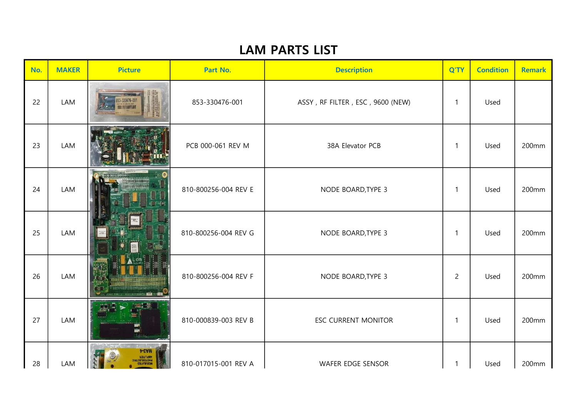| No. | <b>MAKER</b> | <b>Picture</b>                      | Part No.             | <b>Description</b>               | Q'TY           | <b>Condition</b> | <b>Remark</b> |
|-----|--------------|-------------------------------------|----------------------|----------------------------------|----------------|------------------|---------------|
| 22  | LAM          | 853-330476-001<br><b>MILLETTING</b> | 853-330476-001       | ASSY, RF FILTER, ESC, 9600 (NEW) | $\mathbf{1}$   | Used             |               |
| 23  | LAM          |                                     | PCB 000-061 REV M    | 38A Elevator PCB                 | $\mathbf{1}$   | Used             | 200mm         |
| 24  | LAM          |                                     | 810-800256-004 REV E | NODE BOARD, TYPE 3               | $\mathbf{1}$   | Used             | 200mm         |
| 25  | LAM          |                                     | 810-800256-004 REV G | NODE BOARD, TYPE 3               | $\mathbf{1}$   | Used             | 200mm         |
| 26  | LAM          |                                     | 810-800256-004 REV F | NODE BOARD, TYPE 3               | $\overline{2}$ | Used             | 200mm         |
| 27  | LAM          |                                     | 810-000839-003 REV B | <b>ESC CURRENT MONITOR</b>       | $\mathbf{1}$   | Used             | 200mm         |
| 28  | LAM          | MAS-4                               | 810-017015-001 REV A | WAFER EDGE SENSOR                | 1              | Used             | 200mm         |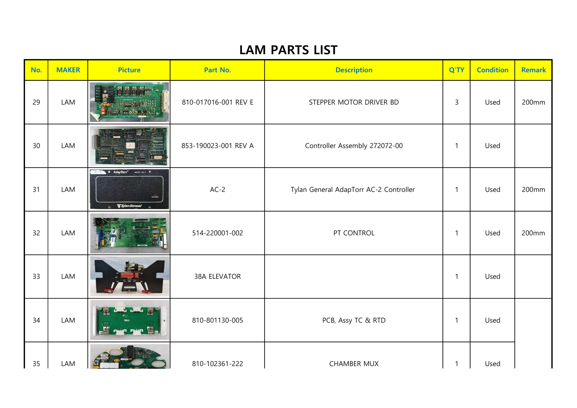| No.    | <b>MAKER</b> | <b>Picture</b>                                                                                                                                                                                                                                                                                                                                                                                                                                                                                                                                     | Part No.             | <b>Description</b>                     | Q'TY         | <b>Condition</b> | <b>Remark</b> |
|--------|--------------|----------------------------------------------------------------------------------------------------------------------------------------------------------------------------------------------------------------------------------------------------------------------------------------------------------------------------------------------------------------------------------------------------------------------------------------------------------------------------------------------------------------------------------------------------|----------------------|----------------------------------------|--------------|------------------|---------------|
| 29     | LAM          |                                                                                                                                                                                                                                                                                                                                                                                                                                                                                                                                                    | 810-017016-001 REV E | STEPPER MOTOR DRIVER BD                | $\mathbf{3}$ | Used             | 200mm         |
| $30\,$ | LAM          |                                                                                                                                                                                                                                                                                                                                                                                                                                                                                                                                                    | 853-190023-001 REV A | Controller Assembly 272072-00          | 1            | Used             |               |
| 31     | LAM          | $\blacksquare$ $\blacksquare$ $\blacksquare$ $\blacksquare$ $\blacksquare$ $\blacksquare$ $\blacksquare$ $\blacksquare$ $\blacksquare$ $\blacksquare$ $\blacksquare$ $\blacksquare$ $\blacksquare$ $\blacksquare$ $\blacksquare$ $\blacksquare$ $\blacksquare$ $\blacksquare$ $\blacksquare$ $\blacksquare$ $\blacksquare$ $\blacksquare$ $\blacksquare$ $\blacksquare$ $\blacksquare$ $\blacksquare$ $\blacksquare$ $\blacksquare$ $\blacksquare$ $\blacksquare$ $\blacksquare$ $\blacks$<br><b>POWER</b><br>$\nabla$ Tylan General<br>$\epsilon$ | $AC-2$               | Tylan General AdapTorr AC-2 Controller | $\mathbf{1}$ | Used             | 200mm         |
| 32     | LAM          |                                                                                                                                                                                                                                                                                                                                                                                                                                                                                                                                                    | 514-220001-002       | PT CONTROL                             | $\mathbf{1}$ | Used             | 200mm         |
| 33     | LAM          |                                                                                                                                                                                                                                                                                                                                                                                                                                                                                                                                                    | 38A ELEVATOR         |                                        | $\mathbf{1}$ | Used             |               |
| 34     | LAM          | <u>.Kommune Wa</u>                                                                                                                                                                                                                                                                                                                                                                                                                                                                                                                                 | 810-801130-005       | PCB, Assy TC & RTD                     | 1            | Used             |               |
| 35     | LAM          |                                                                                                                                                                                                                                                                                                                                                                                                                                                                                                                                                    | 810-102361-222       | <b>CHAMBER MUX</b>                     | $\mathbf{1}$ | Used             |               |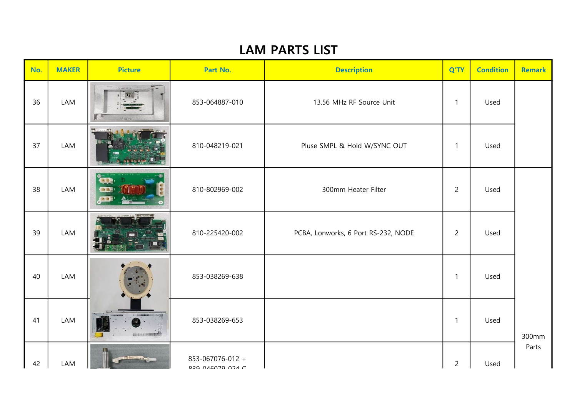| No. | <b>MAKER</b> | <b>Picture</b>                 | Part No.         | <b>Description</b>                  | Q'TY           | <b>Condition</b> | <b>Remark</b> |
|-----|--------------|--------------------------------|------------------|-------------------------------------|----------------|------------------|---------------|
| 36  | LAM          | $\mathbb{R}$                   | 853-064887-010   | 13.56 MHz RF Source Unit            | $\mathbf{1}$   | Used             |               |
| 37  | LAM          | 有自身區内                          | 810-048219-021   | Pluse SMPL & Hold W/SYNC OUT        | $\mathbf{1}$   | Used             |               |
| 38  | LAM          | 49<br><b>GB</b><br><b>to a</b> | 810-802969-002   | 300mm Heater Filter                 | $\overline{c}$ | Used             |               |
| 39  | LAM          |                                | 810-225420-002   | PCBA, Lonworks, 6 Port RS-232, NODE | $\overline{2}$ | Used             |               |
| 40  | LAM          |                                | 853-038269-638   |                                     | $\mathbf{1}$   | Used             |               |
| 41  | LAM          |                                | 853-038269-653   |                                     | $\mathbf{1}$   | Used             | 300mm         |
| 42  | LAM          |                                | 853-067076-012 + |                                     | $\overline{c}$ | Used             | Parts         |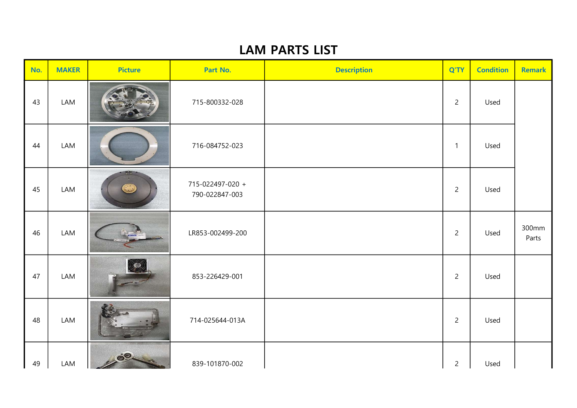| No. | <b>MAKER</b> | <b>Picture</b> | Part No.                           | <b>Description</b> | Q'TY           | <b>Condition</b> | <b>Remark</b>  |
|-----|--------------|----------------|------------------------------------|--------------------|----------------|------------------|----------------|
| 43  | LAM          |                | 715-800332-028                     |                    | $\overline{2}$ | Used             |                |
| 44  | LAM          |                | 716-084752-023                     |                    | $\mathbf{1}$   | Used             |                |
| 45  | LAM          |                | 715-022497-020 +<br>790-022847-003 |                    | $\overline{2}$ | Used             |                |
| 46  | LAM          |                | LR853-002499-200                   |                    | $\overline{2}$ | Used             | 300mm<br>Parts |
| 47  | LAM          |                | 853-226429-001                     |                    | $\overline{2}$ | Used             |                |
| 48  | LAM          |                | 714-025644-013A                    |                    | $\overline{2}$ | Used             |                |
| 49  | LAM          | 200            | 839-101870-002                     |                    | $\overline{c}$ | Used             |                |